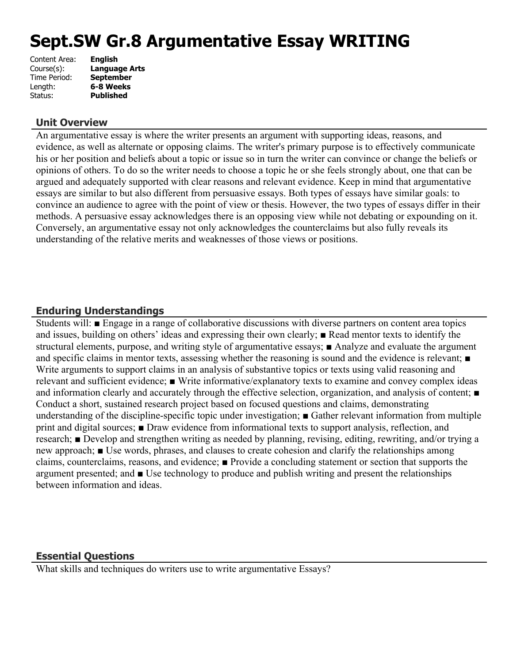# **Sept.SW Gr.8 Argumentative Essay WRITING**

| Content Area: | <b>English</b>       |
|---------------|----------------------|
| Course(s):    | <b>Language Arts</b> |
| Time Period:  | <b>September</b>     |
| Length:       | 6-8 Weeks            |
| Status:       | <b>Published</b>     |
|               |                      |

## **Unit Overview**

An argumentative essay is where the writer presents an argument with supporting ideas, reasons, and evidence, as well as alternate or opposing claims. The writer's primary purpose is to effectively communicate his or her position and beliefs about a topic or issue so in turn the writer can convince or change the beliefs or opinions of others. To do so the writer needs to choose a topic he or she feels strongly about, one that can be argued and adequately supported with clear reasons and relevant evidence. Keep in mind that argumentative essays are similar to but also different from persuasive essays. Both types of essays have similar goals: to convince an audience to agree with the point of view or thesis. However, the two types of essays differ in their methods. A persuasive essay acknowledges there is an opposing view while not debating or expounding on it. Conversely, an argumentative essay not only acknowledges the counterclaims but also fully reveals its understanding of the relative merits and weaknesses of those views or positions.

## **Enduring Understandings**

Students will: ■ Engage in a range of collaborative discussions with diverse partners on content area topics and issues, building on others' ideas and expressing their own clearly; ■ Read mentor texts to identify the structural elements, purpose, and writing style of argumentative essays; ■ Analyze and evaluate the argument and specific claims in mentor texts, assessing whether the reasoning is sound and the evidence is relevant; ■ Write arguments to support claims in an analysis of substantive topics or texts using valid reasoning and relevant and sufficient evidence; ■ Write informative/explanatory texts to examine and convey complex ideas and information clearly and accurately through the effective selection, organization, and analysis of content; ■ Conduct a short, sustained research project based on focused questions and claims, demonstrating understanding of the discipline-specific topic under investigation; ■ Gather relevant information from multiple print and digital sources; ■ Draw evidence from informational texts to support analysis, reflection, and research; ■ Develop and strengthen writing as needed by planning, revising, editing, rewriting, and/or trying a new approach; ■ Use words, phrases, and clauses to create cohesion and clarify the relationships among claims, counterclaims, reasons, and evidence; ■ Provide a concluding statement or section that supports the argument presented; and ■ Use technology to produce and publish writing and present the relationships between information and ideas.

## **Essential Questions**

What skills and techniques do writers use to write argumentative Essays?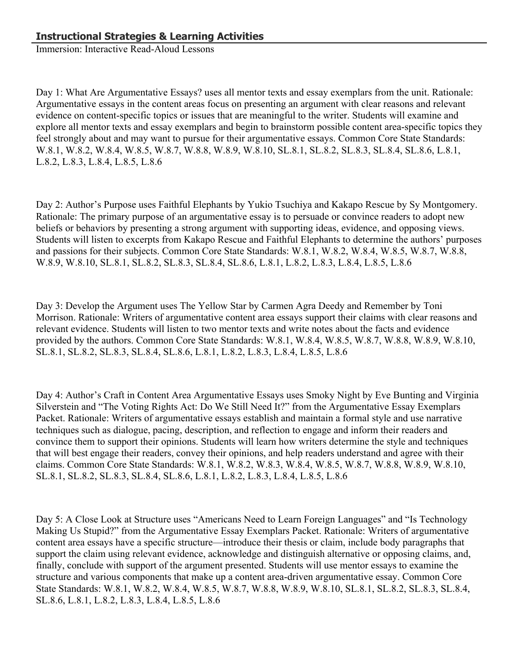Immersion: Interactive Read-Aloud Lessons

Day 1: What Are Argumentative Essays? uses all mentor texts and essay exemplars from the unit. Rationale: Argumentative essays in the content areas focus on presenting an argument with clear reasons and relevant evidence on content-specific topics or issues that are meaningful to the writer. Students will examine and explore all mentor texts and essay exemplars and begin to brainstorm possible content area-specific topics they feel strongly about and may want to pursue for their argumentative essays. Common Core State Standards: W.8.1, W.8.2, W.8.4, W.8.5, W.8.7, W.8.8, W.8.9, W.8.10, SL.8.1, SL.8.2, SL.8.3, SL.8.4, SL.8.6, L.8.1, L.8.2, L.8.3, L.8.4, L.8.5, L.8.6

Day 2: Author's Purpose uses Faithful Elephants by Yukio Tsuchiya and Kakapo Rescue by Sy Montgomery. Rationale: The primary purpose of an argumentative essay is to persuade or convince readers to adopt new beliefs or behaviors by presenting a strong argument with supporting ideas, evidence, and opposing views. Students will listen to excerpts from Kakapo Rescue and Faithful Elephants to determine the authors' purposes and passions for their subjects. Common Core State Standards: W.8.1, W.8.2, W.8.4, W.8.5, W.8.7, W.8.8, W.8.9, W.8.10, SL.8.1, SL.8.2, SL.8.3, SL.8.4, SL.8.6, L.8.1, L.8.2, L.8.3, L.8.4, L.8.5, L.8.6

Day 3: Develop the Argument uses The Yellow Star by Carmen Agra Deedy and Remember by Toni Morrison. Rationale: Writers of argumentative content area essays support their claims with clear reasons and relevant evidence. Students will listen to two mentor texts and write notes about the facts and evidence provided by the authors. Common Core State Standards: W.8.1, W.8.4, W.8.5, W.8.7, W.8.8, W.8.9, W.8.10, SL.8.1, SL.8.2, SL.8.3, SL.8.4, SL.8.6, L.8.1, L.8.2, L.8.3, L.8.4, L.8.5, L.8.6

Day 4: Author's Craft in Content Area Argumentative Essays uses Smoky Night by Eve Bunting and Virginia Silverstein and "The Voting Rights Act: Do We Still Need It?" from the Argumentative Essay Exemplars Packet. Rationale: Writers of argumentative essays establish and maintain a formal style and use narrative techniques such as dialogue, pacing, description, and reflection to engage and inform their readers and convince them to support their opinions. Students will learn how writers determine the style and techniques that will best engage their readers, convey their opinions, and help readers understand and agree with their claims. Common Core State Standards: W.8.1, W.8.2, W.8.3, W.8.4, W.8.5, W.8.7, W.8.8, W.8.9, W.8.10, SL.8.1, SL.8.2, SL.8.3, SL.8.4, SL.8.6, L.8.1, L.8.2, L.8.3, L.8.4, L.8.5, L.8.6

Day 5: A Close Look at Structure uses "Americans Need to Learn Foreign Languages" and "Is Technology Making Us Stupid?" from the Argumentative Essay Exemplars Packet. Rationale: Writers of argumentative content area essays have a specific structure—introduce their thesis or claim, include body paragraphs that support the claim using relevant evidence, acknowledge and distinguish alternative or opposing claims, and, finally, conclude with support of the argument presented. Students will use mentor essays to examine the structure and various components that make up a content area-driven argumentative essay. Common Core State Standards: W.8.1, W.8.2, W.8.4, W.8.5, W.8.7, W.8.8, W.8.9, W.8.10, SL.8.1, SL.8.2, SL.8.3, SL.8.4, SL.8.6, L.8.1, L.8.2, L.8.3, L.8.4, L.8.5, L.8.6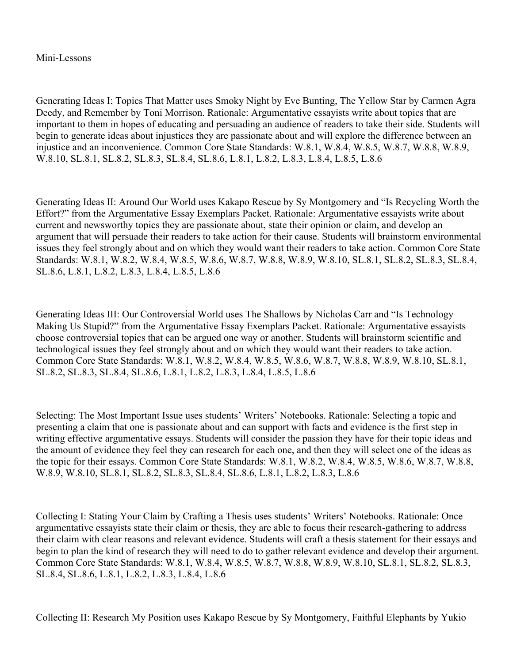#### Mini-Lessons

Generating Ideas I: Topics That Matter uses Smoky Night by Eve Bunting, The Yellow Star by Carmen Agra Deedy, and Remember by Toni Morrison. Rationale: Argumentative essayists write about topics that are important to them in hopes of educating and persuading an audience of readers to take their side. Students will begin to generate ideas about injustices they are passionate about and will explore the difference between an injustice and an inconvenience. Common Core State Standards: W.8.1, W.8.4, W.8.5, W.8.7, W.8.8, W.8.9, W.8.10, SL.8.1, SL.8.2, SL.8.3, SL.8.4, SL.8.6, L.8.1, L.8.2, L.8.3, L.8.4, L.8.5, L.8.6

Generating Ideas II: Around Our World uses Kakapo Rescue by Sy Montgomery and "Is Recycling Worth the Effort?" from the Argumentative Essay Exemplars Packet. Rationale: Argumentative essayists write about current and newsworthy topics they are passionate about, state their opinion or claim, and develop an argument that will persuade their readers to take action for their cause. Students will brainstorm environmental issues they feel strongly about and on which they would want their readers to take action. Common Core State Standards: W.8.1, W.8.2, W.8.4, W.8.5, W.8.6, W.8.7, W.8.8, W.8.9, W.8.10, SL.8.1, SL.8.2, SL.8.3, SL.8.4, SL.8.6, L.8.1, L.8.2, L.8.3, L.8.4, L.8.5, L.8.6

Generating Ideas III: Our Controversial World uses The Shallows by Nicholas Carr and "Is Technology Making Us Stupid?" from the Argumentative Essay Exemplars Packet. Rationale: Argumentative essayists choose controversial topics that can be argued one way or another. Students will brainstorm scientific and technological issues they feel strongly about and on which they would want their readers to take action. Common Core State Standards: W.8.1, W.8.2, W.8.4, W.8.5, W.8.6, W.8.7, W.8.8, W.8.9, W.8.10, SL.8.1, SL.8.2, SL.8.3, SL.8.4, SL.8.6, L.8.1, L.8.2, L.8.3, L.8.4, L.8.5, L.8.6

Selecting: The Most Important Issue uses students' Writers' Notebooks. Rationale: Selecting a topic and presenting a claim that one is passionate about and can support with facts and evidence is the first step in writing effective argumentative essays. Students will consider the passion they have for their topic ideas and the amount of evidence they feel they can research for each one, and then they will select one of the ideas as the topic for their essays. Common Core State Standards: W.8.1, W.8.2, W.8.4, W.8.5, W.8.6, W.8.7, W.8.8, W.8.9, W.8.10, SL.8.1, SL.8.2, SL.8.3, SL.8.4, SL.8.6, L.8.1, L.8.2, L.8.3, L.8.6

Collecting I: Stating Your Claim by Crafting a Thesis uses students' Writers' Notebooks. Rationale: Once argumentative essayists state their claim or thesis, they are able to focus their research-gathering to address their claim with clear reasons and relevant evidence. Students will craft a thesis statement for their essays and begin to plan the kind of research they will need to do to gather relevant evidence and develop their argument. Common Core State Standards: W.8.1, W.8.4, W.8.5, W.8.7, W.8.8, W.8.9, W.8.10, SL.8.1, SL.8.2, SL.8.3, SL.8.4, SL.8.6, L.8.1, L.8.2, L.8.3, L.8.4, L.8.6

Collecting II: Research My Position uses Kakapo Rescue by Sy Montgomery, Faithful Elephants by Yukio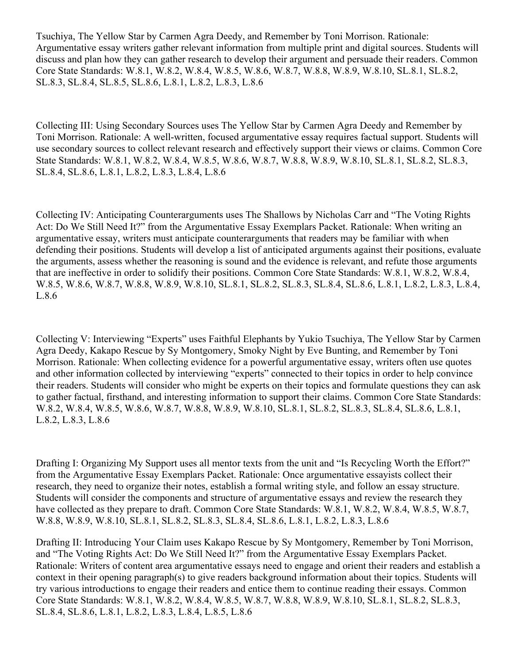Tsuchiya, The Yellow Star by Carmen Agra Deedy, and Remember by Toni Morrison. Rationale: Argumentative essay writers gather relevant information from multiple print and digital sources. Students will discuss and plan how they can gather research to develop their argument and persuade their readers. Common Core State Standards: W.8.1, W.8.2, W.8.4, W.8.5, W.8.6, W.8.7, W.8.8, W.8.9, W.8.10, SL.8.1, SL.8.2, SL.8.3, SL.8.4, SL.8.5, SL.8.6, L.8.1, L.8.2, L.8.3, L.8.6

Collecting III: Using Secondary Sources uses The Yellow Star by Carmen Agra Deedy and Remember by Toni Morrison. Rationale: A well-written, focused argumentative essay requires factual support. Students will use secondary sources to collect relevant research and effectively support their views or claims. Common Core State Standards: W.8.1, W.8.2, W.8.4, W.8.5, W.8.6, W.8.7, W.8.8, W.8.9, W.8.10, SL.8.1, SL.8.2, SL.8.3, SL.8.4, SL.8.6, L.8.1, L.8.2, L.8.3, L.8.4, L.8.6

Collecting IV: Anticipating Counterarguments uses The Shallows by Nicholas Carr and "The Voting Rights Act: Do We Still Need It?" from the Argumentative Essay Exemplars Packet. Rationale: When writing an argumentative essay, writers must anticipate counterarguments that readers may be familiar with when defending their positions. Students will develop a list of anticipated arguments against their positions, evaluate the arguments, assess whether the reasoning is sound and the evidence is relevant, and refute those arguments that are ineffective in order to solidify their positions. Common Core State Standards: W.8.1, W.8.2, W.8.4, W.8.5, W.8.6, W.8.7, W.8.8, W.8.9, W.8.10, SL.8.1, SL.8.2, SL.8.3, SL.8.4, SL.8.6, L.8.1, L.8.2, L.8.3, L.8.4, L.8.6

Collecting V: Interviewing "Experts" uses Faithful Elephants by Yukio Tsuchiya, The Yellow Star by Carmen Agra Deedy, Kakapo Rescue by Sy Montgomery, Smoky Night by Eve Bunting, and Remember by Toni Morrison. Rationale: When collecting evidence for a powerful argumentative essay, writers often use quotes and other information collected by interviewing "experts" connected to their topics in order to help convince their readers. Students will consider who might be experts on their topics and formulate questions they can ask to gather factual, firsthand, and interesting information to support their claims. Common Core State Standards: W.8.2, W.8.4, W.8.5, W.8.6, W.8.7, W.8.8, W.8.9, W.8.10, SL.8.1, SL.8.2, SL.8.3, SL.8.4, SL.8.6, L.8.1, L.8.2, L.8.3, L.8.6

Drafting I: Organizing My Support uses all mentor texts from the unit and "Is Recycling Worth the Effort?" from the Argumentative Essay Exemplars Packet. Rationale: Once argumentative essayists collect their research, they need to organize their notes, establish a formal writing style, and follow an essay structure. Students will consider the components and structure of argumentative essays and review the research they have collected as they prepare to draft. Common Core State Standards: W.8.1, W.8.2, W.8.4, W.8.5, W.8.7, W.8.8, W.8.9, W.8.10, SL.8.1, SL.8.2, SL.8.3, SL.8.4, SL.8.6, L.8.1, L.8.2, L.8.3, L.8.6

Drafting II: Introducing Your Claim uses Kakapo Rescue by Sy Montgomery, Remember by Toni Morrison, and "The Voting Rights Act: Do We Still Need It?" from the Argumentative Essay Exemplars Packet. Rationale: Writers of content area argumentative essays need to engage and orient their readers and establish a context in their opening paragraph(s) to give readers background information about their topics. Students will try various introductions to engage their readers and entice them to continue reading their essays. Common Core State Standards: W.8.1, W.8.2, W.8.4, W.8.5, W.8.7, W.8.8, W.8.9, W.8.10, SL.8.1, SL.8.2, SL.8.3, SL.8.4, SL.8.6, L.8.1, L.8.2, L.8.3, L.8.4, L.8.5, L.8.6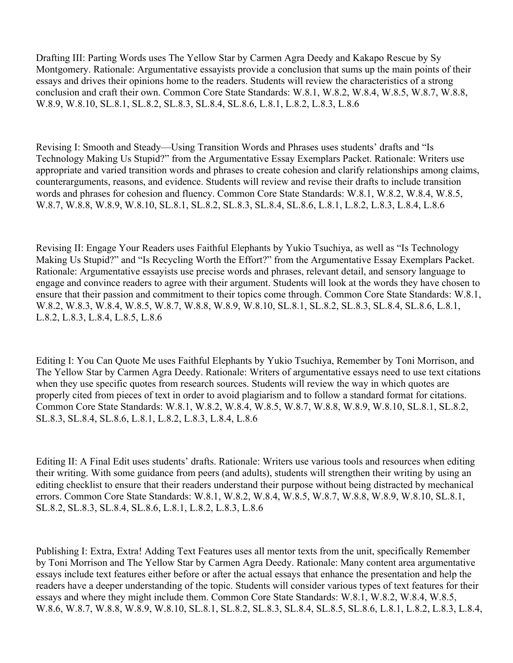Drafting III: Parting Words uses The Yellow Star by Carmen Agra Deedy and Kakapo Rescue by Sy Montgomery. Rationale: Argumentative essayists provide a conclusion that sums up the main points of their essays and drives their opinions home to the readers. Students will review the characteristics of a strong conclusion and craft their own. Common Core State Standards: W.8.1, W.8.2, W.8.4, W.8.5, W.8.7, W.8.8, W.8.9, W.8.10, SL.8.1, SL.8.2, SL.8.3, SL.8.4, SL.8.6, L.8.1, L.8.2, L.8.3, L.8.6

Revising I: Smooth and Steady—Using Transition Words and Phrases uses students' drafts and "Is Technology Making Us Stupid?" from the Argumentative Essay Exemplars Packet. Rationale: Writers use appropriate and varied transition words and phrases to create cohesion and clarify relationships among claims, counterarguments, reasons, and evidence. Students will review and revise their drafts to include transition words and phrases for cohesion and fluency. Common Core State Standards: W.8.1, W.8.2, W.8.4, W.8.5, W.8.7, W.8.8, W.8.9, W.8.10, SL.8.1, SL.8.2, SL.8.3, SL.8.4, SL.8.6, L.8.1, L.8.2, L.8.3, L.8.4, L.8.6

Revising II: Engage Your Readers uses Faithful Elephants by Yukio Tsuchiya, as well as "Is Technology Making Us Stupid?" and "Is Recycling Worth the Effort?" from the Argumentative Essay Exemplars Packet. Rationale: Argumentative essayists use precise words and phrases, relevant detail, and sensory language to engage and convince readers to agree with their argument. Students will look at the words they have chosen to ensure that their passion and commitment to their topics come through. Common Core State Standards: W.8.1, W.8.2, W.8.3, W.8.4, W.8.5, W.8.7, W.8.8, W.8.9, W.8.10, SL.8.1, SL.8.2, SL.8.3, SL.8.4, SL.8.6, L.8.1, L.8.2, L.8.3, L.8.4, L.8.5, L.8.6

Editing I: You Can Quote Me uses Faithful Elephants by Yukio Tsuchiya, Remember by Toni Morrison, and The Yellow Star by Carmen Agra Deedy. Rationale: Writers of argumentative essays need to use text citations when they use specific quotes from research sources. Students will review the way in which quotes are properly cited from pieces of text in order to avoid plagiarism and to follow a standard format for citations. Common Core State Standards: W.8.1, W.8.2, W.8.4, W.8.5, W.8.7, W.8.8, W.8.9, W.8.10, SL.8.1, SL.8.2, SL.8.3, SL.8.4, SL.8.6, L.8.1, L.8.2, L.8.3, L.8.4, L.8.6

Editing II: A Final Edit uses students' drafts. Rationale: Writers use various tools and resources when editing their writing. With some guidance from peers (and adults), students will strengthen their writing by using an editing checklist to ensure that their readers understand their purpose without being distracted by mechanical errors. Common Core State Standards: W.8.1, W.8.2, W.8.4, W.8.5, W.8.7, W.8.8, W.8.9, W.8.10, SL.8.1, SL.8.2, SL.8.3, SL.8.4, SL.8.6, L.8.1, L.8.2, L.8.3, L.8.6

Publishing I: Extra, Extra! Adding Text Features uses all mentor texts from the unit, specifically Remember by Toni Morrison and The Yellow Star by Carmen Agra Deedy. Rationale: Many content area argumentative essays include text features either before or after the actual essays that enhance the presentation and help the readers have a deeper understanding of the topic. Students will consider various types of text features for their essays and where they might include them. Common Core State Standards: W.8.1, W.8.2, W.8.4, W.8.5, W.8.6, W.8.7, W.8.8, W.8.9, W.8.10, SL.8.1, SL.8.2, SL.8.3, SL.8.4, SL.8.5, SL.8.6, L.8.1, L.8.2, L.8.3, L.8.4,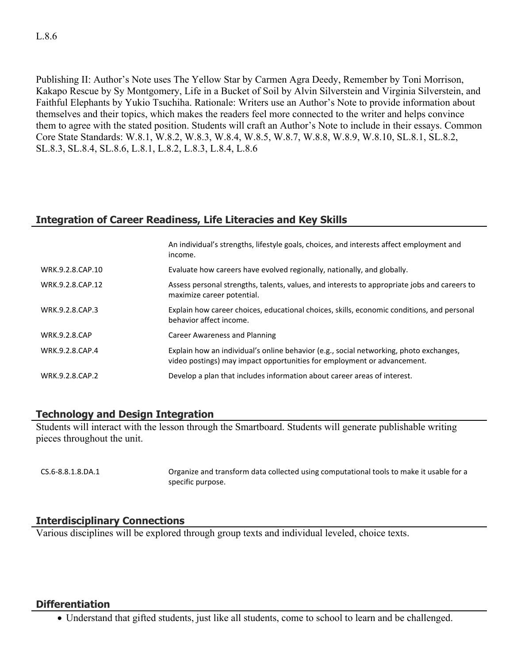Publishing II: Author's Note uses The Yellow Star by Carmen Agra Deedy, Remember by Toni Morrison, Kakapo Rescue by Sy Montgomery, Life in a Bucket of Soil by Alvin Silverstein and Virginia Silverstein, and Faithful Elephants by Yukio Tsuchiha. Rationale: Writers use an Author's Note to provide information about themselves and their topics, which makes the readers feel more connected to the writer and helps convince them to agree with the stated position. Students will craft an Author's Note to include in their essays. Common Core State Standards: W.8.1, W.8.2, W.8.3, W.8.4, W.8.5, W.8.7, W.8.8, W.8.9, W.8.10, SL.8.1, SL.8.2, SL.8.3, SL.8.4, SL.8.6, L.8.1, L.8.2, L.8.3, L.8.4, L.8.6

# **Integration of Career Readiness, Life Literacies and Key Skills**

|                      | An individual's strengths, lifestyle goals, choices, and interests affect employment and<br>income.                                                               |
|----------------------|-------------------------------------------------------------------------------------------------------------------------------------------------------------------|
| WRK.9.2.8.CAP.10     | Evaluate how careers have evolved regionally, nationally, and globally.                                                                                           |
| WRK.9.2.8.CAP.12     | Assess personal strengths, talents, values, and interests to appropriate jobs and careers to<br>maximize career potential.                                        |
| WRK.9.2.8.CAP.3      | Explain how career choices, educational choices, skills, economic conditions, and personal<br>behavior affect income.                                             |
| <b>WRK.9.2.8.CAP</b> | Career Awareness and Planning                                                                                                                                     |
| WRK.9.2.8.CAP.4      | Explain how an individual's online behavior (e.g., social networking, photo exchanges,<br>video postings) may impact opportunities for employment or advancement. |
| WRK.9.2.8.CAP.2      | Develop a plan that includes information about career areas of interest.                                                                                          |

## **Technology and Design Integration**

Students will interact with the lesson through the Smartboard. Students will generate publishable writing pieces throughout the unit.

CS.6-8.8.1.8.DA.1 Organize and transform data collected using computational tools to make it usable for a specific purpose.

# **Interdisciplinary Connections**

Various disciplines will be explored through group texts and individual leveled, choice texts.

## **Differentiation**

Understand that gifted students, just like all students, come to school to learn and be challenged.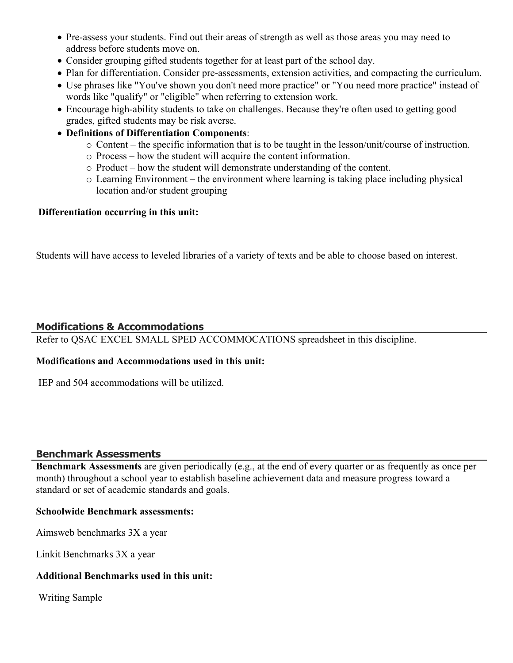- Pre-assess your students. Find out their areas of strength as well as those areas you may need to address before students move on.
- Consider grouping gifted students together for at least part of the school day.
- Plan for differentiation. Consider pre-assessments, extension activities, and compacting the curriculum.
- Use phrases like "You've shown you don't need more practice" or "You need more practice" instead of words like "qualify" or "eligible" when referring to extension work.
- Encourage high-ability students to take on challenges. Because they're often used to getting good grades, gifted students may be risk averse.
- **Definitions of Differentiation Components**:
	- o Content the specific information that is to be taught in the lesson/unit/course of instruction.
	- o Process how the student will acquire the content information.
	- o Product how the student will demonstrate understanding of the content.
	- o Learning Environment the environment where learning is taking place including physical location and/or student grouping

#### **Differentiation occurring in this unit:**

Students will have access to leveled libraries of a variety of texts and be able to choose based on interest.

## **Modifications & Accommodations**

Refer to QSAC EXCEL SMALL SPED ACCOMMOCATIONS spreadsheet in this discipline.

## **Modifications and Accommodations used in this unit:**

IEP and 504 accommodations will be utilized.

## **Benchmark Assessments**

**Benchmark Assessments** are given periodically (e.g., at the end of every quarter or as frequently as once per month) throughout a school year to establish baseline achievement data and measure progress toward a standard or set of academic standards and goals.

#### **Schoolwide Benchmark assessments:**

Aimsweb benchmarks 3X a year

Linkit Benchmarks 3X a year

## **Additional Benchmarks used in this unit:**

Writing Sample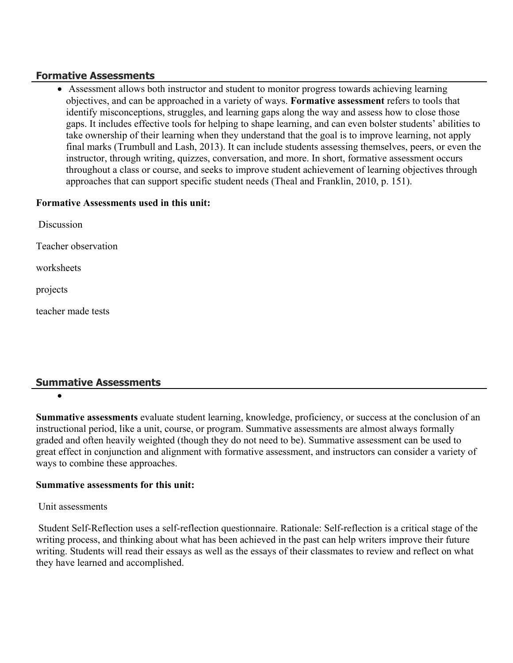## **Formative Assessments**

 Assessment allows both instructor and student to monitor progress towards achieving learning objectives, and can be approached in a variety of ways. **Formative assessment** refers to tools that identify misconceptions, struggles, and learning gaps along the way and assess how to close those gaps. It includes effective tools for helping to shape learning, and can even bolster students' abilities to take ownership of their learning when they understand that the goal is to improve learning, not apply final marks (Trumbull and Lash, 2013). It can include students assessing themselves, peers, or even the instructor, through writing, quizzes, conversation, and more. In short, formative assessment occurs throughout a class or course, and seeks to improve student achievement of learning objectives through approaches that can support specific student needs (Theal and Franklin, 2010, p. 151).

## **Formative Assessments used in this unit:**

| Discussion          |
|---------------------|
| Teacher observation |
| worksheets          |
| projects            |
| teacher made tests  |
|                     |

# **Summative Assessments**

 $\bullet$ 

**Summative assessments** evaluate student learning, knowledge, proficiency, or success at the conclusion of an instructional period, like a unit, course, or program. Summative assessments are almost always formally graded and often heavily weighted (though they do not need to be). Summative assessment can be used to great effect in conjunction and alignment with formative assessment, and instructors can consider a variety of ways to combine these approaches.

# **Summative assessments for this unit:**

## Unit assessments

 Student Self-Reflection uses a self-reflection questionnaire. Rationale: Self-reflection is a critical stage of the writing process, and thinking about what has been achieved in the past can help writers improve their future writing. Students will read their essays as well as the essays of their classmates to review and reflect on what they have learned and accomplished.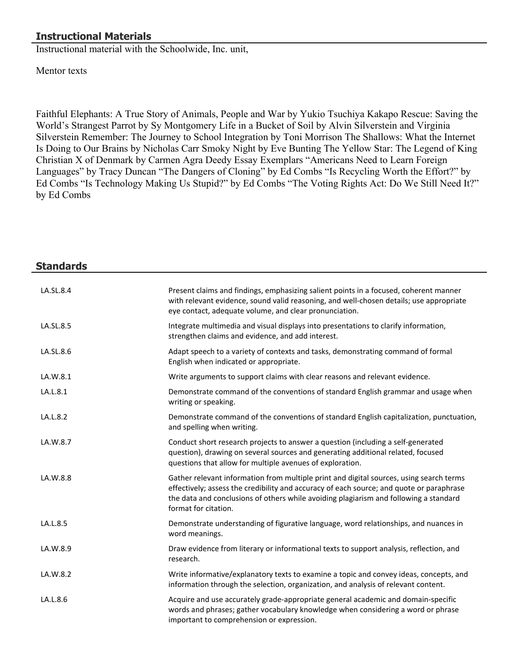# **Instructional Materials**

Instructional material with the Schoolwide, Inc. unit,

Mentor texts

Faithful Elephants: A True Story of Animals, People and War by Yukio Tsuchiya Kakapo Rescue: Saving the World's Strangest Parrot by Sy Montgomery Life in a Bucket of Soil by Alvin Silverstein and Virginia Silverstein Remember: The Journey to School Integration by Toni Morrison The Shallows: What the Internet Is Doing to Our Brains by Nicholas Carr Smoky Night by Eve Bunting The Yellow Star: The Legend of King Christian X of Denmark by Carmen Agra Deedy Essay Exemplars "Americans Need to Learn Foreign Languages" by Tracy Duncan "The Dangers of Cloning" by Ed Combs "Is Recycling Worth the Effort?" by Ed Combs "Is Technology Making Us Stupid?" by Ed Combs "The Voting Rights Act: Do We Still Need It?" by Ed Combs

| <b>Standards</b> |                                                                                                                                                                                                                                                                                                      |
|------------------|------------------------------------------------------------------------------------------------------------------------------------------------------------------------------------------------------------------------------------------------------------------------------------------------------|
| LA.SL.8.4        | Present claims and findings, emphasizing salient points in a focused, coherent manner<br>with relevant evidence, sound valid reasoning, and well-chosen details; use appropriate<br>eye contact, adequate volume, and clear pronunciation.                                                           |
| LA.SL.8.5        | Integrate multimedia and visual displays into presentations to clarify information,<br>strengthen claims and evidence, and add interest.                                                                                                                                                             |
| LA.SL.8.6        | Adapt speech to a variety of contexts and tasks, demonstrating command of formal<br>English when indicated or appropriate.                                                                                                                                                                           |
| LA.W.8.1         | Write arguments to support claims with clear reasons and relevant evidence.                                                                                                                                                                                                                          |
| LA.L.8.1         | Demonstrate command of the conventions of standard English grammar and usage when<br>writing or speaking.                                                                                                                                                                                            |
| LA.L.8.2         | Demonstrate command of the conventions of standard English capitalization, punctuation,<br>and spelling when writing.                                                                                                                                                                                |
| LA.W.8.7         | Conduct short research projects to answer a question (including a self-generated<br>question), drawing on several sources and generating additional related, focused<br>questions that allow for multiple avenues of exploration.                                                                    |
| LA.W.8.8         | Gather relevant information from multiple print and digital sources, using search terms<br>effectively; assess the credibility and accuracy of each source; and quote or paraphrase<br>the data and conclusions of others while avoiding plagiarism and following a standard<br>format for citation. |
| LA.L.8.5         | Demonstrate understanding of figurative language, word relationships, and nuances in<br>word meanings.                                                                                                                                                                                               |
| LA.W.8.9         | Draw evidence from literary or informational texts to support analysis, reflection, and<br>research.                                                                                                                                                                                                 |
| LA.W.8.2         | Write informative/explanatory texts to examine a topic and convey ideas, concepts, and<br>information through the selection, organization, and analysis of relevant content.                                                                                                                         |
| LA.L.8.6         | Acquire and use accurately grade-appropriate general academic and domain-specific<br>words and phrases; gather vocabulary knowledge when considering a word or phrase<br>important to comprehension or expression.                                                                                   |